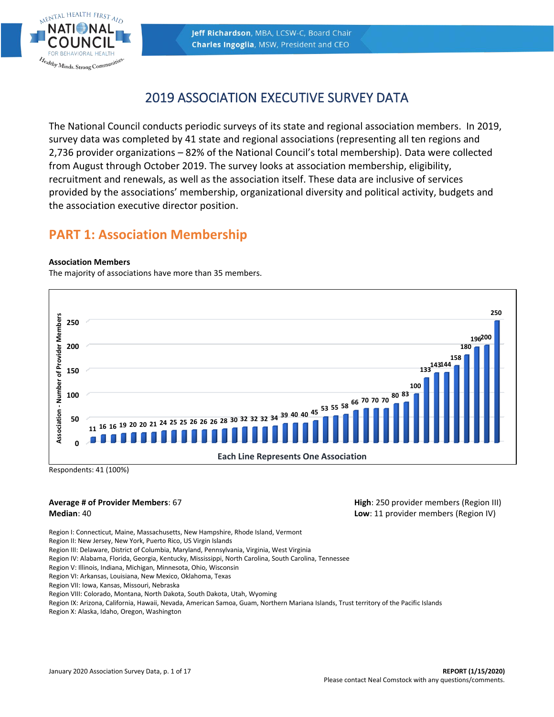



# 2019 ASSOCIATION EXECUTIVE SURVEY DATA

The National Council conducts periodic surveys of its state and regional association members. In 2019, survey data was completed by 41 state and regional associations (representing all ten regions and 2,736 provider organizations – 82% of the National Council's total membership). Data were collected from August through October 2019. The survey looks at association membership, eligibility, recruitment and renewals, as well as the association itself. These data are inclusive of services provided by the associations' membership, organizational diversity and political activity, budgets and the association executive director position.

# **PART 1: Association Membership**

# **Association Members**

The majority of associations have more than 35 members.



Respondents: 41 (100%)

## **Average # of Provider Members**: 67 **Median**: 40

**High**: 250 provider members (Region III) **Low**: 11 provider members (Region IV)

Region I: Connecticut, Maine, Massachusetts, New Hampshire, Rhode Island, Vermont

Region II: New Jersey, New York, Puerto Rico, US Virgin Islands

Region III: Delaware, District of Columbia, Maryland, Pennsylvania, Virginia, West Virginia

Region IV: Alabama, Florida, Georgia, Kentucky, Mississippi, North Carolina, South Carolina, Tennessee

Region V: Illinois, Indiana, Michigan, Minnesota, Ohio, Wisconsin

Region VI: Arkansas, Louisiana, New Mexico, Oklahoma, Texas

Region VII: Iowa, Kansas, Missouri, Nebraska

Region VIII: Colorado, Montana, North Dakota, South Dakota, Utah, Wyoming

Region IX: Arizona, California, Hawaii, Nevada, American Samoa, Guam, Northern Mariana Islands, Trust territory of the Pacific Islands

Region X: Alaska, Idaho, Oregon, Washington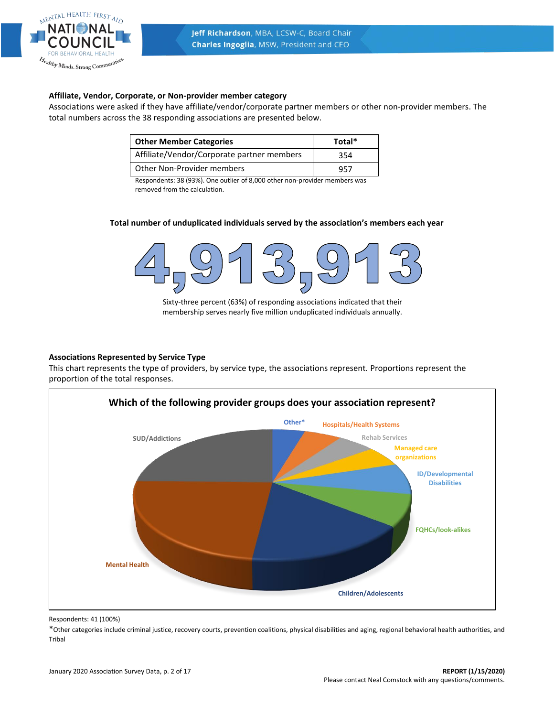

# **Affiliate, Vendor, Corporate, or Non-provider member category**

Associations were asked if they have affiliate/vendor/corporate partner members or other non-provider members. The total numbers across the 38 responding associations are presented below.

| <b>Other Member Categories</b>             | Total* |
|--------------------------------------------|--------|
| Affiliate/Vendor/Corporate partner members | 354    |
| Other Non-Provider members                 | 957    |

Respondents: 38 (93%). One outlier of 8,000 other non-provider members was removed from the calculation.

## **Total number of unduplicated individuals served by the association's members each year**



Sixty-three percent (63%) of responding associations indicated that their membership serves nearly five million unduplicated individuals annually.

## **Associations Represented by Service Type**

This chart represents the type of providers, by service type, the associations represent. Proportions represent the proportion of the total responses.



Respondents: 41 (100%)

\*Other categories include criminal justice, recovery courts, prevention coalitions, physical disabilities and aging, regional behavioral health authorities, and Tribal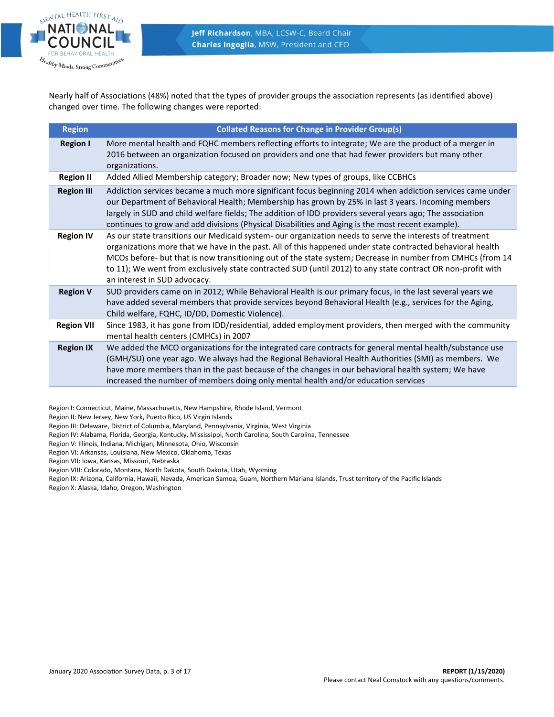

Nearly half of Associations (48%) noted that the types of provider groups the association represents (as identified above) changed over time. The following changes were reported:

| <b>Region</b>     | <b>Collated Reasons for Change in Provider Group(s)</b>                                                                                                                                                                                                                                                                                                                                                                                                                             |
|-------------------|-------------------------------------------------------------------------------------------------------------------------------------------------------------------------------------------------------------------------------------------------------------------------------------------------------------------------------------------------------------------------------------------------------------------------------------------------------------------------------------|
| <b>Region I</b>   | More mental health and FQHC members reflecting efforts to integrate; We are the product of a merger in<br>2016 between an organization focused on providers and one that had fewer providers but many other<br>organizations.                                                                                                                                                                                                                                                       |
| <b>Region II</b>  | Added Allied Membership category; Broader now; New types of groups, like CCBHCs                                                                                                                                                                                                                                                                                                                                                                                                     |
| <b>Region III</b> | Addiction services became a much more significant focus beginning 2014 when addiction services came under<br>our Department of Behavioral Health; Membership has grown by 25% in last 3 years. Incoming members<br>largely in SUD and child welfare fields; The addition of IDD providers several years ago; The association<br>continues to grow and add divisions (Physical Disabilities and Aging is the most recent example).                                                   |
| <b>Region IV</b>  | As our state transitions our Medicaid system- our organization needs to serve the interests of treatment<br>organizations more that we have in the past. All of this happened under state contracted behavioral health<br>MCOs before- but that is now transitioning out of the state system; Decrease in number from CMHCs (from 14<br>to 11); We went from exclusively state contracted SUD (until 2012) to any state contract OR non-profit with<br>an interest in SUD advocacy. |
| <b>Region V</b>   | SUD providers came on in 2012; While Behavioral Health is our primary focus, in the last several years we<br>have added several members that provide services beyond Behavioral Health (e.g., services for the Aging,<br>Child welfare, FQHC, ID/DD, Domestic Violence).                                                                                                                                                                                                            |
| <b>Region VII</b> | Since 1983, it has gone from IDD/residential, added employment providers, then merged with the community<br>mental health centers (CMHCs) in 2007                                                                                                                                                                                                                                                                                                                                   |
| <b>Region IX</b>  | We added the MCO organizations for the integrated care contracts for general mental health/substance use<br>(GMH/SU) one year ago. We always had the Regional Behavioral Health Authorities (SMI) as members. We<br>have more members than in the past because of the changes in our behavioral health system; We have<br>increased the number of members doing only mental health and/or education services                                                                        |

Region I: Connecticut, Maine, Massachusetts, New Hampshire, Rhode Island, Vermont

Region II: New Jersey, New York, Puerto Rico, US Virgin Islands

Region III: Delaware, District of Columbia, Maryland, Pennsylvania, Virginia, West Virginia

Region IV: Alabama, Florida, Georgia, Kentucky, Mississippi, North Carolina, South Carolina, Tennessee

Region V: Illinois, Indiana, Michigan, Minnesota, Ohio, Wisconsin

Region VI: Arkansas, Louisiana, New Mexico, Oklahoma, Texas

Region VII: Iowa, Kansas, Missouri, Nebraska

Region VIII: Colorado, Montana, North Dakota, South Dakota, Utah, Wyoming

Region IX: Arizona, California, Hawaii, Nevada, American Samoa, Guam, Northern Mariana Islands, Trust territory of the Pacific Islands

Region X: Alaska, Idaho, Oregon, Washington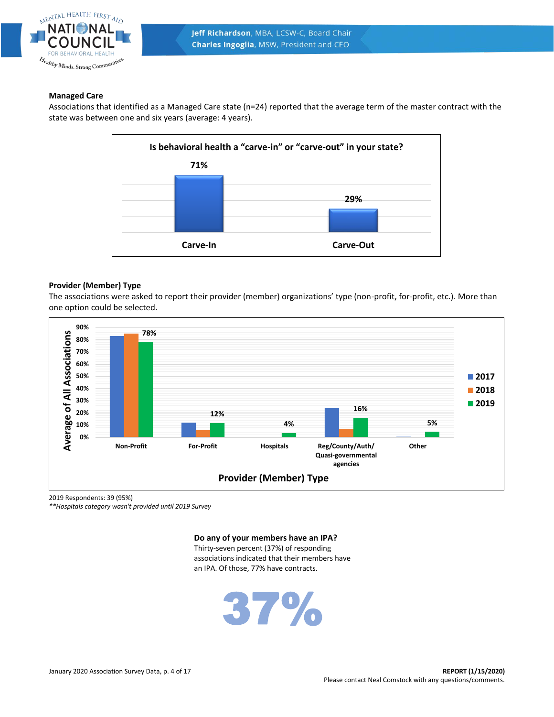

# **Managed Care**

Associations that identified as a Managed Care state (n=24) reported that the average term of the master contract with the state was between one and six years (average: 4 years).



# **Provider (Member) Type**

The associations were asked to report their provider (member) organizations' type (non-profit, for-profit, etc.). More than one option could be selected.



2019 Respondents: 39 (95%)

*\*\*Hospitals category wasn't provided until 2019 Survey*

**Do any of your members have an IPA?**

Thirty-seven percent (37%) of responding associations indicated that their members have an IPA. Of those, 77% have contracts.

37%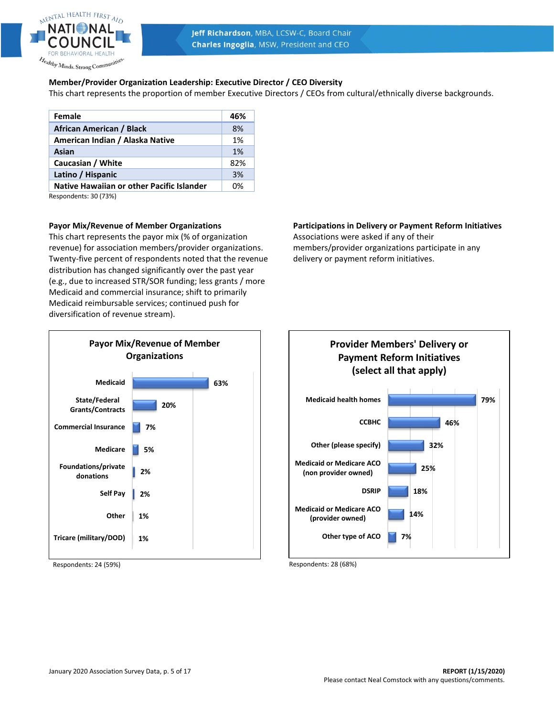

# **Member/Provider Organization Leadership: Executive Director / CEO Diversity**

This chart represents the proportion of member Executive Directors / CEOs from cultural/ethnically diverse backgrounds.

| Female                                    | 46% |
|-------------------------------------------|-----|
| African American / Black                  | 8%  |
| American Indian / Alaska Native           | 1%  |
| Asian                                     | 1%  |
| Caucasian / White                         | 82% |
| Latino / Hispanic                         | 3%  |
| Native Hawaiian or other Pacific Islander | በ%  |

Respondents: 30 (73%)

## **Payor Mix/Revenue of Member Organizations**

This chart represents the payor mix (% of organization revenue) for association members/provider organizations. Twenty-five percent of respondents noted that the revenue distribution has changed significantly over the past year (e.g., due to increased STR/SOR funding; less grants / more Medicaid and commercial insurance; shift to primarily Medicaid reimbursable services; continued push for diversification of revenue stream).



Respondents: 24 (59%)

# **Participations in Delivery or Payment Reform Initiatives**

Associations were asked if any of their members/provider organizations participate in any delivery or payment reform initiatives.



Respondents: 28 (68%)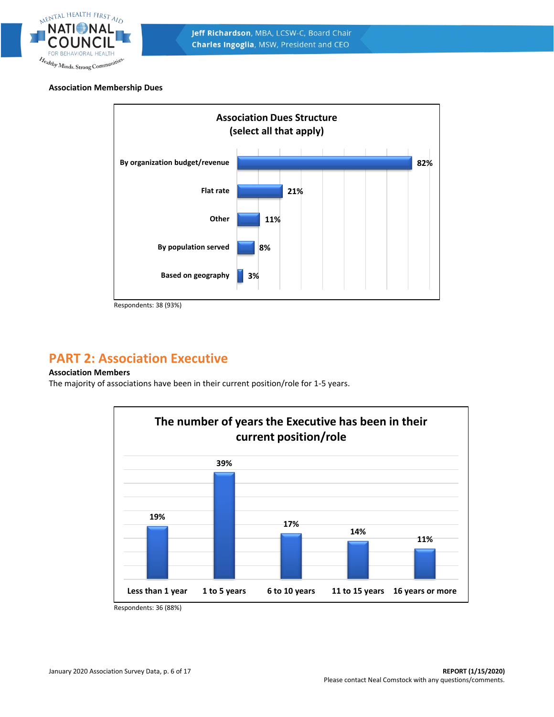

# **Association Membership Dues**



# **PART 2: Association Executive**

# **Association Members**

The majority of associations have been in their current position/role for 1-5 years.



Respondents: 36 (88%)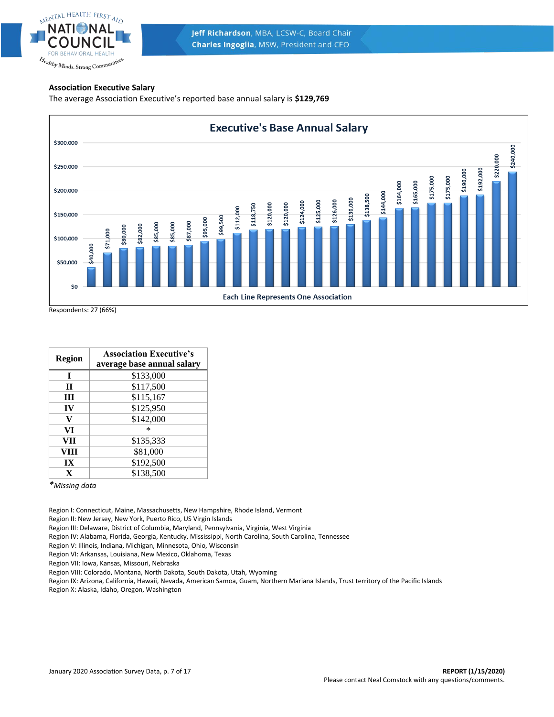

Jeff Richardson, MBA, LCSW-C, Board Chair **Charles Ingoglia, MSW, President and CEO** 

# **Association Executive Salary**

The average Association Executive's reported base annual salary is **\$129,769**



Respondents: 27 (66%)

| Region | <b>Association Executive's</b><br>average base annual salary |
|--------|--------------------------------------------------------------|
| T      | \$133,000                                                    |
| П      | \$117,500                                                    |
| Ш      | \$115,167                                                    |
| IV     | \$125,950                                                    |
| v      | \$142,000                                                    |
| VI     | $\ast$                                                       |
| VII    | \$135,333                                                    |
| VIII   | \$81,000                                                     |
| IX     | \$192,500                                                    |
| X      | \$138,500                                                    |

*\*Missing data*

Region I: Connecticut, Maine, Massachusetts, New Hampshire, Rhode Island, Vermont

Region II: New Jersey, New York, Puerto Rico, US Virgin Islands

Region III: Delaware, District of Columbia, Maryland, Pennsylvania, Virginia, West Virginia

Region IV: Alabama, Florida, Georgia, Kentucky, Mississippi, North Carolina, South Carolina, Tennessee

Region V: Illinois, Indiana, Michigan, Minnesota, Ohio, Wisconsin

Region VI: Arkansas, Louisiana, New Mexico, Oklahoma, Texas

Region VII: Iowa, Kansas, Missouri, Nebraska

Region VIII: Colorado, Montana, North Dakota, South Dakota, Utah, Wyoming

Region IX: Arizona, California, Hawaii, Nevada, American Samoa, Guam, Northern Mariana Islands, Trust territory of the Pacific Islands

Region X: Alaska, Idaho, Oregon, Washington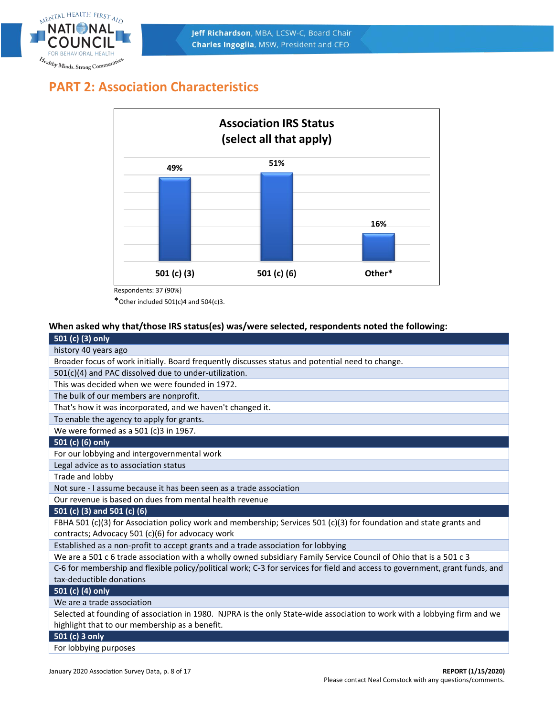

# **PART 2: Association Characteristics**



\* Other included  $501(c)4$  and  $504(c)3$ .

# **When asked why that/those IRS status(es) was/were selected, respondents noted the following:**

# **501 (c) (3) only**

| history 40 years ago                                                                                                         |
|------------------------------------------------------------------------------------------------------------------------------|
| Broader focus of work initially. Board frequently discusses status and potential need to change.                             |
| 501(c)(4) and PAC dissolved due to under-utilization.                                                                        |
| This was decided when we were founded in 1972.                                                                               |
| The bulk of our members are nonprofit.                                                                                       |
| That's how it was incorporated, and we haven't changed it.                                                                   |
| To enable the agency to apply for grants.                                                                                    |
| We were formed as a 501 (c)3 in 1967.                                                                                        |
| 501 (c) (6) only                                                                                                             |
| For our lobbying and intergovernmental work                                                                                  |
| Legal advice as to association status                                                                                        |
| Trade and lobby                                                                                                              |
| Not sure - I assume because it has been seen as a trade association                                                          |
| Our revenue is based on dues from mental health revenue                                                                      |
| 501 (c) (3) and 501 (c) (6)                                                                                                  |
| FBHA 501 (c)(3) for Association policy work and membership; Services 501 (c)(3) for foundation and state grants and          |
| contracts; Advocacy 501 (c)(6) for advocacy work                                                                             |
| Established as a non-profit to accept grants and a trade association for lobbying                                            |
| We are a 501 c 6 trade association with a wholly owned subsidiary Family Service Council of Ohio that is a 501 c 3           |
| C-6 for membership and flexible policy/political work; C-3 for services for field and access to government, grant funds, and |
| tax-deductible donations                                                                                                     |
| 501 (c) (4) only                                                                                                             |
| We are a trade association                                                                                                   |
| Selected at founding of association in 1980. NJPRA is the only State-wide association to work with a lobbying firm and we    |
| highlight that to our membership as a benefit.                                                                               |
| 501 (c) 3 only                                                                                                               |

For lobbying purposes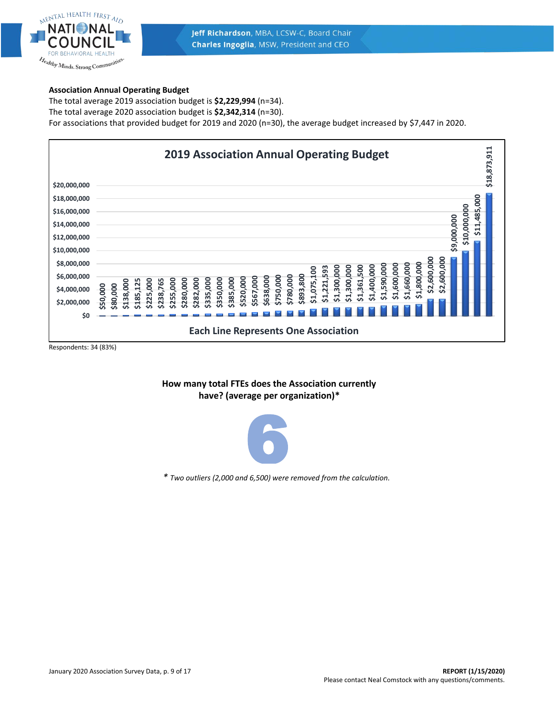

# **Association Annual Operating Budget**

The total average 2019 association budget is **\$2,229,994** (n=34). The total average 2020 association budget is **\$2,342,314** (n=30). For associations that provided budget for 2019 and 2020 (n=30), the average budget increased by \$7,447 in 2020.



# **How many total FTEs does the Association currently have? (average per organization)\***



*\* Two outliers (2,000 and 6,500) were removed from the calculation.*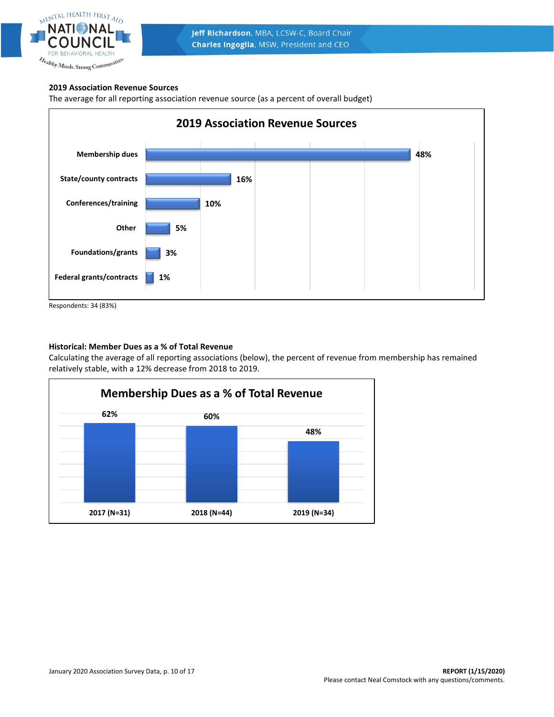

# **2019 Association Revenue Sources**

The average for all reporting association revenue source (as a percent of overall budget)



Respondents: 34 (83%)

# **Historical: Member Dues as a % of Total Revenue**

Calculating the average of all reporting associations (below), the percent of revenue from membership has remained relatively stable, with a 12% decrease from 2018 to 2019.

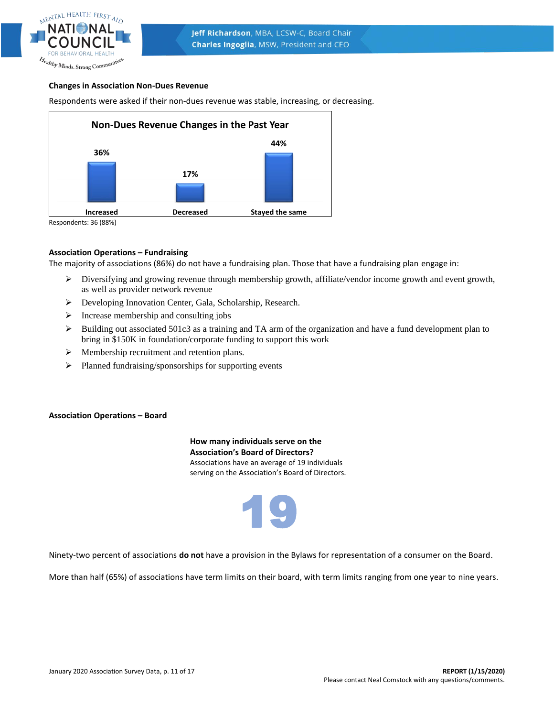

# **Changes in Association Non-Dues Revenue**

Respondents were asked if their non-dues revenue was stable, increasing, or decreasing.



Respondents: 36 (88%)

#### **Association Operations – Fundraising**

The majority of associations (86%) do not have a fundraising plan. Those that have a fundraising plan engage in:

- ➢ Diversifying and growing revenue through membership growth, affiliate/vendor income growth and event growth, as well as provider network revenue
- ➢ Developing Innovation Center, Gala, Scholarship, Research.
- $\triangleright$  Increase membership and consulting jobs
- $\triangleright$  Building out associated 501c3 as a training and TA arm of the organization and have a fund development plan to bring in \$150K in foundation/corporate funding to support this work
- ➢ Membership recruitment and retention plans.
- ➢ Planned fundraising/sponsorships for supporting events

#### **Association Operations – Board**

**How many individuals serve on the Association's Board of Directors?** Associations have an average of 19 individuals serving on the Association's Board of Directors.



Ninety-two percent of associations **do not** have a provision in the Bylaws for representation of a consumer on the Board.

More than half (65%) of associations have term limits on their board, with term limits ranging from one year to nine years.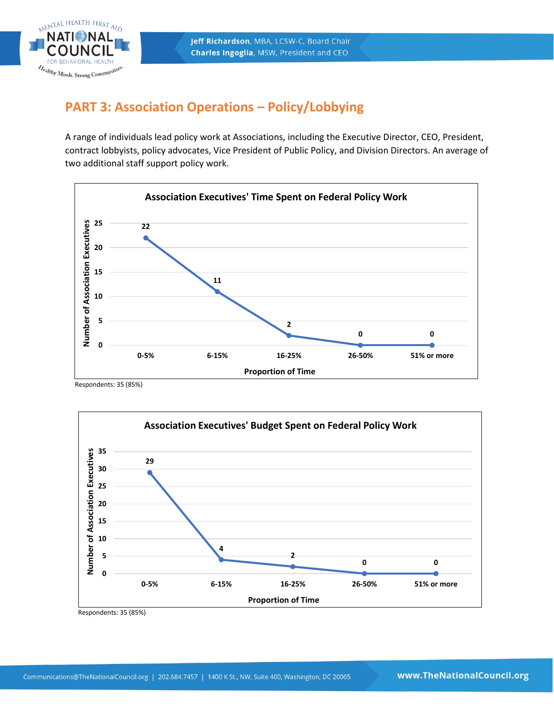

# **PART 3: Association Operations – Policy/Lobbying**

A range of individuals lead policy work at Associations, including the Executive Director, CEO, President, contract lobbyists, policy advocates, Vice President of Public Policy, and Division Directors. An average of two additional staff support policy work.



Respondents: 35 (85%)



Respondents: 35 (85%)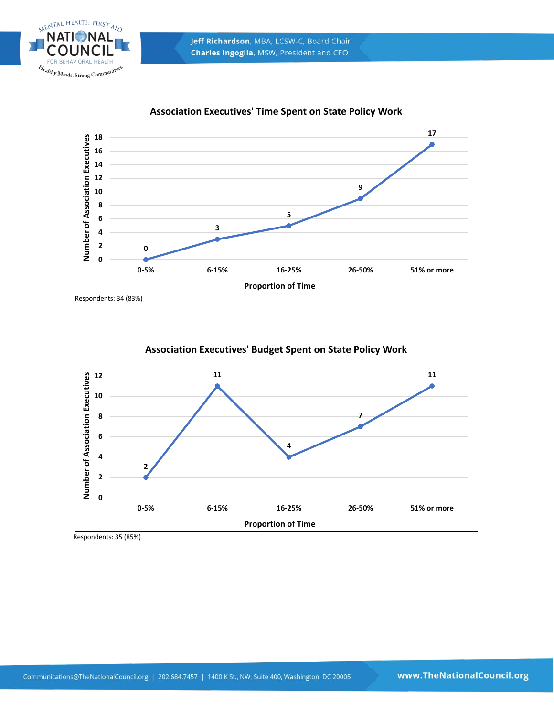





Respondents: 34 (83%)



Respondents: 35 (85%)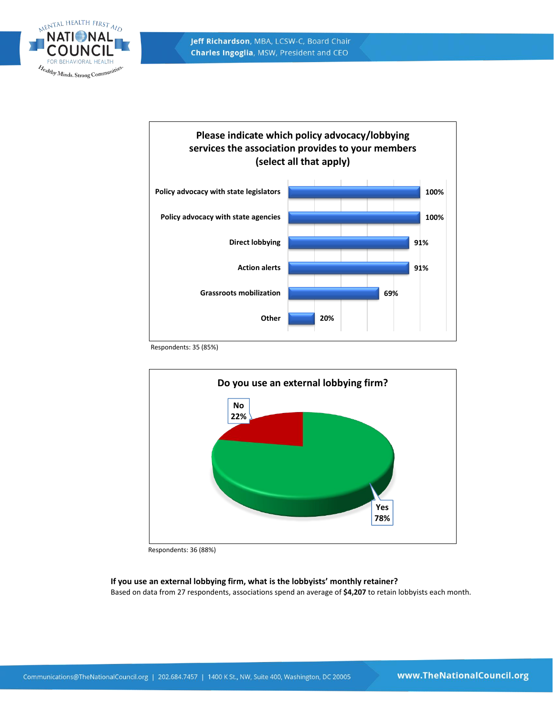



Respondents: 35 (85%)



Respondents: 36 (88%)

# **If you use an external lobbying firm, what is the lobbyists' monthly retainer?**

Based on data from 27 respondents, associations spend an average of **\$4,207** to retain lobbyists each month.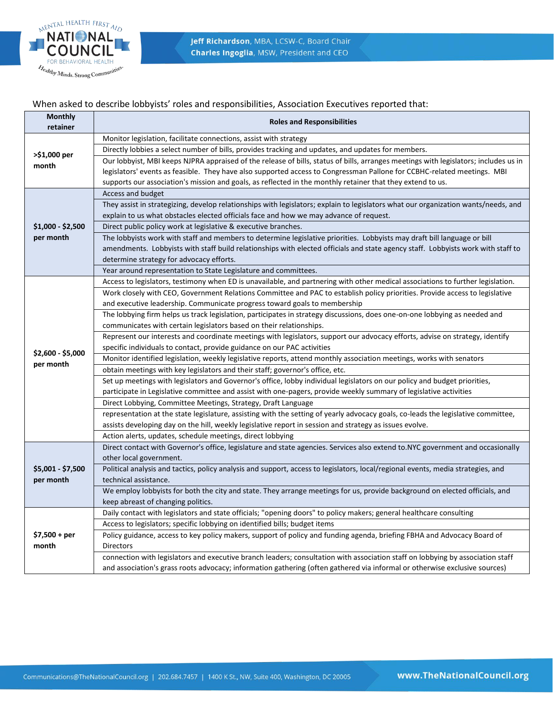

# When asked to describe lobbyists' roles and responsibilities, Association Executives reported that:

| <b>Monthly</b>          | <b>Roles and Responsibilities</b>                                                                                                    |  |
|-------------------------|--------------------------------------------------------------------------------------------------------------------------------------|--|
| retainer                |                                                                                                                                      |  |
|                         | Monitor legislation, facilitate connections, assist with strategy                                                                    |  |
| >\$1,000 per            | Directly lobbies a select number of bills, provides tracking and updates, and updates for members.                                   |  |
| month                   | Our lobbyist, MBI keeps NJPRA appraised of the release of bills, status of bills, arranges meetings with legislators; includes us in |  |
|                         | legislators' events as feasible. They have also supported access to Congressman Pallone for CCBHC-related meetings. MBI              |  |
|                         | supports our association's mission and goals, as reflected in the monthly retainer that they extend to us.                           |  |
|                         | Access and budget                                                                                                                    |  |
|                         | They assist in strategizing, develop relationships with legislators; explain to legislators what our organization wants/needs, and   |  |
|                         | explain to us what obstacles elected officials face and how we may advance of request.                                               |  |
| $$1,000 - $2,500$       | Direct public policy work at legislative & executive branches.                                                                       |  |
| per month               | The lobbyists work with staff and members to determine legislative priorities. Lobbyists may draft bill language or bill             |  |
|                         | amendments. Lobbyists with staff build relationships with elected officials and state agency staff. Lobbyists work with staff to     |  |
|                         | determine strategy for advocacy efforts.                                                                                             |  |
|                         | Year around representation to State Legislature and committees.                                                                      |  |
|                         | Access to legislators, testimony when ED is unavailable, and partnering with other medical associations to further legislation.      |  |
|                         | Work closely with CEO, Government Relations Committee and PAC to establish policy priorities. Provide access to legislative          |  |
|                         | and executive leadership. Communicate progress toward goals to membership                                                            |  |
|                         | The lobbying firm helps us track legislation, participates in strategy discussions, does one-on-one lobbying as needed and           |  |
|                         | communicates with certain legislators based on their relationships.                                                                  |  |
|                         | Represent our interests and coordinate meetings with legislators, support our advocacy efforts, advise on strategy, identify         |  |
|                         | specific individuals to contact, provide guidance on our PAC activities                                                              |  |
| $$2,600 - $5,000$       | Monitor identified legislation, weekly legislative reports, attend monthly association meetings, works with senators                 |  |
| per month               | obtain meetings with key legislators and their staff; governor's office, etc.                                                        |  |
|                         | Set up meetings with legislators and Governor's office, lobby individual legislators on our policy and budget priorities,            |  |
|                         | participate in Legislative committee and assist with one-pagers, provide weekly summary of legislative activities                    |  |
|                         | Direct Lobbying, Committee Meetings, Strategy, Draft Language                                                                        |  |
|                         | representation at the state legislature, assisting with the setting of yearly advocacy goals, co-leads the legislative committee,    |  |
|                         | assists developing day on the hill, weekly legislative report in session and strategy as issues evolve.                              |  |
|                         | Action alerts, updates, schedule meetings, direct lobbying                                                                           |  |
|                         | Direct contact with Governor's office, legislature and state agencies. Services also extend to.NYC government and occasionally       |  |
|                         | other local government.                                                                                                              |  |
| \$5,001 - \$7,500       | Political analysis and tactics, policy analysis and support, access to legislators, local/regional events, media strategies, and     |  |
| per month               | technical assistance.                                                                                                                |  |
|                         | We employ lobbyists for both the city and state. They arrange meetings for us, provide background on elected officials, and          |  |
|                         | keep abreast of changing politics.                                                                                                   |  |
|                         | Daily contact with legislators and state officials; "opening doors" to policy makers; general healthcare consulting                  |  |
| $$7,500 + per$<br>month | Access to legislators; specific lobbying on identified bills; budget items                                                           |  |
|                         | Policy guidance, access to key policy makers, support of policy and funding agenda, briefing FBHA and Advocacy Board of              |  |
|                         | <b>Directors</b>                                                                                                                     |  |
|                         | connection with legislators and executive branch leaders; consultation with association staff on lobbying by association staff       |  |
|                         | and association's grass roots advocacy; information gathering (often gathered via informal or otherwise exclusive sources)           |  |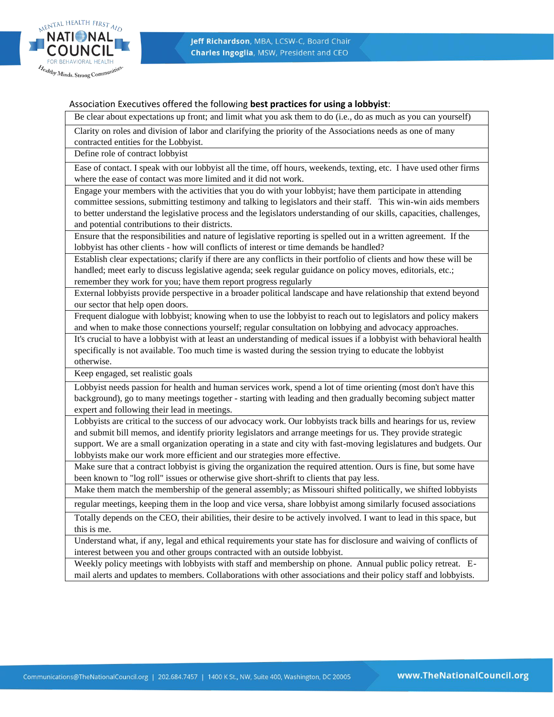

# Association Executives offered the following **best practices for using a lobbyist**:

Be clear about expectations up front; and limit what you ask them to do (i.e., do as much as you can yourself)

Clarity on roles and division of labor and clarifying the priority of the Associations needs as one of many contracted entities for the Lobbyist.

Define role of contract lobbyist

Ease of contact. I speak with our lobbyist all the time, off hours, weekends, texting, etc. I have used other firms where the ease of contact was more limited and it did not work.

Engage your members with the activities that you do with your lobbyist; have them participate in attending committee sessions, submitting testimony and talking to legislators and their staff. This win-win aids members to better understand the legislative process and the legislators understanding of our skills, capacities, challenges, and potential contributions to their districts.

Ensure that the responsibilities and nature of legislative reporting is spelled out in a written agreement. If the lobbyist has other clients - how will conflicts of interest or time demands be handled?

Establish clear expectations; clarify if there are any conflicts in their portfolio of clients and how these will be handled; meet early to discuss legislative agenda; seek regular guidance on policy moves, editorials, etc.; remember they work for you; have them report progress regularly

External lobbyists provide perspective in a broader political landscape and have relationship that extend beyond our sector that help open doors.

Frequent dialogue with lobbyist; knowing when to use the lobbyist to reach out to legislators and policy makers and when to make those connections yourself; regular consultation on lobbying and advocacy approaches.

It's crucial to have a lobbyist with at least an understanding of medical issues if a lobbyist with behavioral health specifically is not available. Too much time is wasted during the session trying to educate the lobbyist otherwise.

Keep engaged, set realistic goals

Lobbyist needs passion for health and human services work, spend a lot of time orienting (most don't have this background), go to many meetings together - starting with leading and then gradually becoming subject matter expert and following their lead in meetings.

Lobbyists are critical to the success of our advocacy work. Our lobbyists track bills and hearings for us, review and submit bill memos, and identify priority legislators and arrange meetings for us. They provide strategic support. We are a small organization operating in a state and city with fast-moving legislatures and budgets. Our lobbyists make our work more efficient and our strategies more effective.

Make sure that a contract lobbyist is giving the organization the required attention. Ours is fine, but some have been known to "log roll" issues or otherwise give short-shrift to clients that pay less.

Make them match the membership of the general assembly; as Missouri shifted politically, we shifted lobbyists

regular meetings, keeping them in the loop and vice versa, share lobbyist among similarly focused associations

Totally depends on the CEO, their abilities, their desire to be actively involved. I want to lead in this space, but this is me.

Understand what, if any, legal and ethical requirements your state has for disclosure and waiving of conflicts of interest between you and other groups contracted with an outside lobbyist.

Weekly policy meetings with lobbyists with staff and membership on phone. Annual public policy retreat. Email alerts and updates to members. Collaborations with other associations and their policy staff and lobbyists.